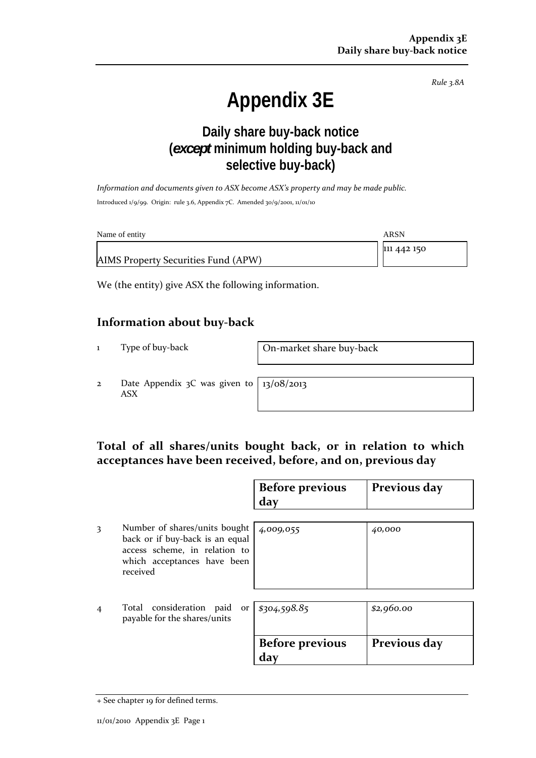*Rule 3.8A*

# **Appendix 3E**

## **Daily share buy-back notice (***except* **minimum holding buy-back and selective buy-back)**

*Information and documents given to ASX become ASX's property and may be made public.* Introduced 1/9/99. Origin: rule 3.6, Appendix 7C. Amended 30/9/2001, 11/01/10

| Name of entity                      | ARSN        |
|-------------------------------------|-------------|
|                                     | 111 442 150 |
| AIMS Property Securities Fund (APW) |             |

We (the entity) give ASX the following information.

#### **Information about buy‐back**

1 Type of buy-back **On-market share buy-back** 

2 Date Appendix 3C was given to ASX

13/08/2013

## **Total of all shares/units bought back, or in relation to which acceptances have been received, before, and on, previous day**

|                |                                                                                                                                              | <b>Before previous</b><br>day | Previous day |
|----------------|----------------------------------------------------------------------------------------------------------------------------------------------|-------------------------------|--------------|
| 3              | Number of shares/units bought<br>back or if buy-back is an equal<br>access scheme, in relation to<br>which acceptances have been<br>received | 4,009,055                     | 40,000       |
| $\overline{4}$ | Total consideration paid or<br>payable for the shares/units                                                                                  | \$304,598.85                  | \$2,960.00   |
|                |                                                                                                                                              | <b>Before previous</b><br>day | Previous day |

<sup>+</sup> See chapter 19 for defined terms.